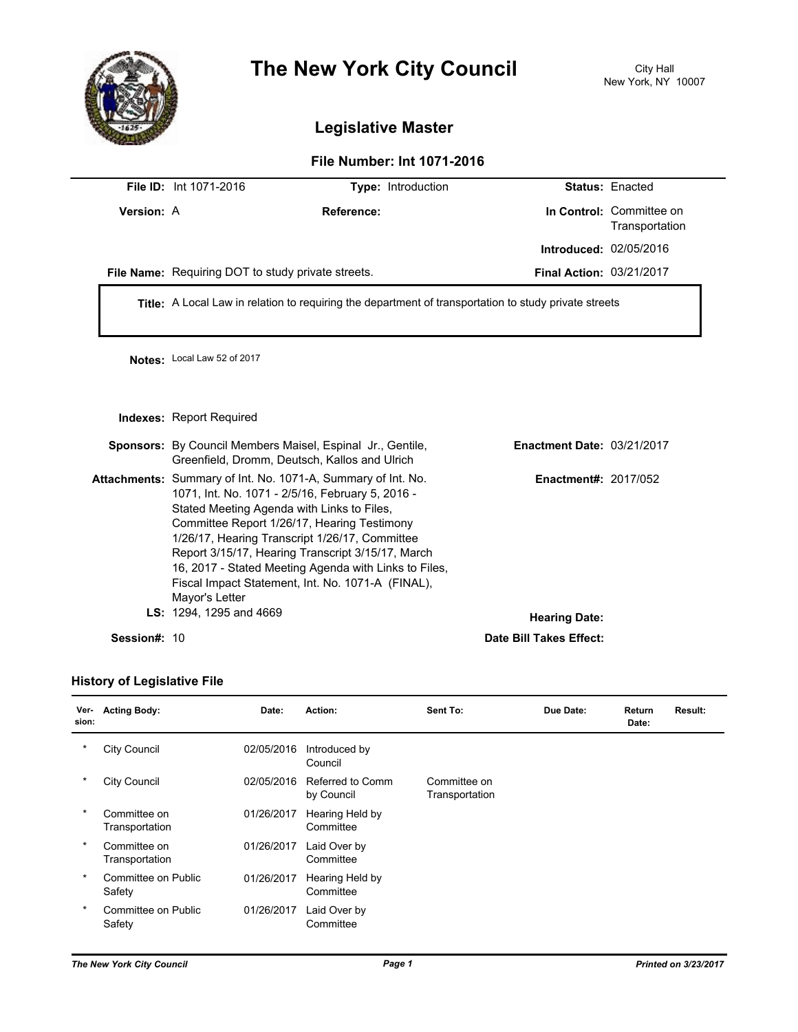

## **The New York City Council** City Hall

## **Legislative Master**

## **File Number: Int 1071-2016**

| Version: A<br>In Control: Committee on<br>Reference:<br>Transportation<br><b>Introduced: 02/05/2016</b><br><b>Final Action: 03/21/2017</b><br>File Name: Requiring DOT to study private streets.<br>Title: A Local Law in relation to requiring the department of transportation to study private streets<br>Notes: Local Law 52 of 2017<br><b>Indexes: Report Required</b><br><b>Sponsors:</b> By Council Members Maisel, Espinal Jr., Gentile,<br><b>Enactment Date: 03/21/2017</b><br>Greenfield, Dromm, Deutsch, Kallos and Ulrich<br>Attachments: Summary of Int. No. 1071-A, Summary of Int. No.<br><b>Enactment#: 2017/052</b><br>1071, Int. No. 1071 - 2/5/16, February 5, 2016 -<br>Stated Meeting Agenda with Links to Files,<br>Committee Report 1/26/17, Hearing Testimony<br>1/26/17, Hearing Transcript 1/26/17, Committee<br>Report 3/15/17, Hearing Transcript 3/15/17, March<br>16, 2017 - Stated Meeting Agenda with Links to Files,<br>Fiscal Impact Statement, Int. No. 1071-A (FINAL),<br>Mayor's Letter<br>LS: 1294, 1295 and 4669<br><b>Hearing Date:</b><br>Session#: 10 | <b>File ID: Int 1071-2016</b> | Type: Introduction |                         | <b>Status: Enacted</b> |  |  |
|--------------------------------------------------------------------------------------------------------------------------------------------------------------------------------------------------------------------------------------------------------------------------------------------------------------------------------------------------------------------------------------------------------------------------------------------------------------------------------------------------------------------------------------------------------------------------------------------------------------------------------------------------------------------------------------------------------------------------------------------------------------------------------------------------------------------------------------------------------------------------------------------------------------------------------------------------------------------------------------------------------------------------------------------------------------------------------------------------|-------------------------------|--------------------|-------------------------|------------------------|--|--|
|                                                                                                                                                                                                                                                                                                                                                                                                                                                                                                                                                                                                                                                                                                                                                                                                                                                                                                                                                                                                                                                                                                  |                               |                    |                         |                        |  |  |
|                                                                                                                                                                                                                                                                                                                                                                                                                                                                                                                                                                                                                                                                                                                                                                                                                                                                                                                                                                                                                                                                                                  |                               |                    |                         |                        |  |  |
|                                                                                                                                                                                                                                                                                                                                                                                                                                                                                                                                                                                                                                                                                                                                                                                                                                                                                                                                                                                                                                                                                                  |                               |                    |                         |                        |  |  |
|                                                                                                                                                                                                                                                                                                                                                                                                                                                                                                                                                                                                                                                                                                                                                                                                                                                                                                                                                                                                                                                                                                  |                               |                    |                         |                        |  |  |
|                                                                                                                                                                                                                                                                                                                                                                                                                                                                                                                                                                                                                                                                                                                                                                                                                                                                                                                                                                                                                                                                                                  |                               |                    |                         |                        |  |  |
|                                                                                                                                                                                                                                                                                                                                                                                                                                                                                                                                                                                                                                                                                                                                                                                                                                                                                                                                                                                                                                                                                                  |                               |                    |                         |                        |  |  |
|                                                                                                                                                                                                                                                                                                                                                                                                                                                                                                                                                                                                                                                                                                                                                                                                                                                                                                                                                                                                                                                                                                  |                               |                    |                         |                        |  |  |
|                                                                                                                                                                                                                                                                                                                                                                                                                                                                                                                                                                                                                                                                                                                                                                                                                                                                                                                                                                                                                                                                                                  |                               |                    |                         |                        |  |  |
|                                                                                                                                                                                                                                                                                                                                                                                                                                                                                                                                                                                                                                                                                                                                                                                                                                                                                                                                                                                                                                                                                                  |                               |                    | Date Bill Takes Effect: |                        |  |  |

## **History of Legislative File**

| Ver-<br>sion: | <b>Acting Body:</b>            | Date:      | Action:                        | Sent To:                       | Due Date: | Return<br>Date: | Result: |
|---------------|--------------------------------|------------|--------------------------------|--------------------------------|-----------|-----------------|---------|
| $\star$       | <b>City Council</b>            | 02/05/2016 | Introduced by<br>Council       |                                |           |                 |         |
| $\ast$        | <b>City Council</b>            | 02/05/2016 | Referred to Comm<br>by Council | Committee on<br>Transportation |           |                 |         |
| $\ast$        | Committee on<br>Transportation | 01/26/2017 | Hearing Held by<br>Committee   |                                |           |                 |         |
| $\star$       | Committee on<br>Transportation | 01/26/2017 | Laid Over by<br>Committee      |                                |           |                 |         |
| $\star$       | Committee on Public<br>Safety  | 01/26/2017 | Hearing Held by<br>Committee   |                                |           |                 |         |
| $\star$       | Committee on Public<br>Safety  | 01/26/2017 | Laid Over by<br>Committee      |                                |           |                 |         |